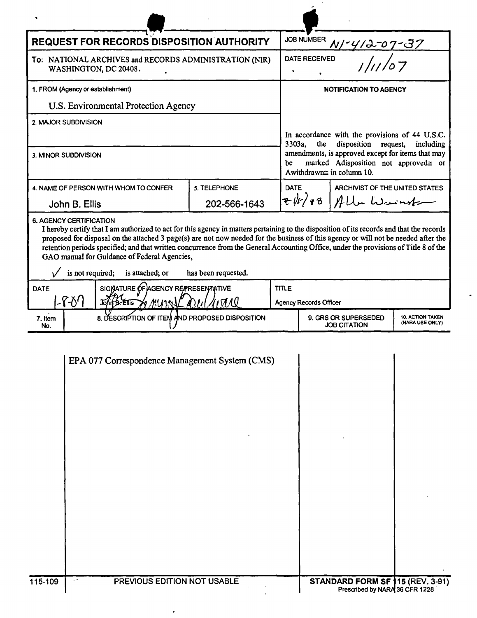| <b>REQUEST FOR RECORDS DISPOSITION AUTHORITY</b>                                                                                                                                                                                                                                                                                                                                                                                                                                                                                                                        |              |              | <b>JOB NUMBER</b>                                                                                                                                                                                                                 |                                |  |  |
|-------------------------------------------------------------------------------------------------------------------------------------------------------------------------------------------------------------------------------------------------------------------------------------------------------------------------------------------------------------------------------------------------------------------------------------------------------------------------------------------------------------------------------------------------------------------------|--------------|--------------|-----------------------------------------------------------------------------------------------------------------------------------------------------------------------------------------------------------------------------------|--------------------------------|--|--|
| To: NATIONAL ARCHIVES and RECORDS ADMINISTRATION (NIR)<br>WASHINGTON, DC 20408.                                                                                                                                                                                                                                                                                                                                                                                                                                                                                         |              |              | <b>DATE RECEIVED</b>                                                                                                                                                                                                              |                                |  |  |
| 1. FROM (Agency or establishment)                                                                                                                                                                                                                                                                                                                                                                                                                                                                                                                                       |              |              | <b>NOTIFICATION TO AGENCY</b>                                                                                                                                                                                                     |                                |  |  |
| U.S. Environmental Protection Agency                                                                                                                                                                                                                                                                                                                                                                                                                                                                                                                                    |              |              |                                                                                                                                                                                                                                   |                                |  |  |
| 2. MAJOR SUBDIVISION                                                                                                                                                                                                                                                                                                                                                                                                                                                                                                                                                    |              |              |                                                                                                                                                                                                                                   |                                |  |  |
| 3. MINOR SUBDIVISION                                                                                                                                                                                                                                                                                                                                                                                                                                                                                                                                                    |              | Ъe           | In accordance with the provisions of 44 U.S.C.<br>disposition<br>3303a,<br>the<br>request,<br>including<br>amendments, is approved except for items that may<br>marked Adisposition not approved≅ or<br>Awithdrawn≅ in column 10. |                                |  |  |
| 4. NAME OF PERSON WITH WHOM TO CONFER                                                                                                                                                                                                                                                                                                                                                                                                                                                                                                                                   | 5. TELEPHONE | <b>DATE</b>  |                                                                                                                                                                                                                                   | ARCHIVIST OF THE UNITED STATES |  |  |
| John B. Ellis                                                                                                                                                                                                                                                                                                                                                                                                                                                                                                                                                           | 202-566-1643 |              |                                                                                                                                                                                                                                   | $\frac{1}{2}$ + 3   Alle Warnt |  |  |
| <b>6. AGENCY CERTIFICATION</b><br>I hereby certify that I am authorized to act for this agency in matters pertaining to the disposition of its records and that the records<br>proposed for disposal on the attached 3 page(s) are not now needed for the business of this agency or will not be needed after the<br>retention periods specified; and that written concurrence from the General Accounting Office, under the provisions of Title 8 of the<br>GAO manual for Guidance of Federal Agencies,<br>is not required;<br>is attached; or<br>has been requested. |              |              |                                                                                                                                                                                                                                   |                                |  |  |
| SIGNATURE OF AGENCY REPRESENTATIVE<br>DATE                                                                                                                                                                                                                                                                                                                                                                                                                                                                                                                              |              | <b>TITLE</b> |                                                                                                                                                                                                                                   |                                |  |  |
| $ \mathcal{F}\mathcal{F}'$<br>John B. Ellis<br>⊁r ⁄‼Unn                                                                                                                                                                                                                                                                                                                                                                                                                                                                                                                 |              |              | <b>Agency Records Officer</b>                                                                                                                                                                                                     |                                |  |  |
| 8. DESCRIPTION OF ITEM AND PROPOSED DISPOSITION<br>7. Item<br>No.                                                                                                                                                                                                                                                                                                                                                                                                                                                                                                       |              |              | <b>10. ACTION TAKEN</b><br>9. GRS OR SUPERSEDED<br>(NARA USE ONLY)<br><b>JOB CITATION</b>                                                                                                                                         |                                |  |  |
|                                                                                                                                                                                                                                                                                                                                                                                                                                                                                                                                                                         |              |              |                                                                                                                                                                                                                                   |                                |  |  |

 $\ensuremath{\text{NWML}}$ 

|         | EPA 077 Correspondence Management System (CMS) |                                                                    |  |
|---------|------------------------------------------------|--------------------------------------------------------------------|--|
|         |                                                |                                                                    |  |
|         |                                                |                                                                    |  |
|         |                                                |                                                                    |  |
|         |                                                |                                                                    |  |
|         |                                                |                                                                    |  |
|         |                                                |                                                                    |  |
|         |                                                |                                                                    |  |
|         |                                                |                                                                    |  |
|         |                                                |                                                                    |  |
|         |                                                |                                                                    |  |
| 115-109 | PREVIOUS EDITION NOT USABLE<br>y en            | STANDARD FORM SF 115 (REV. 3-91)<br>Prescribed by NARA 36 CFR 1228 |  |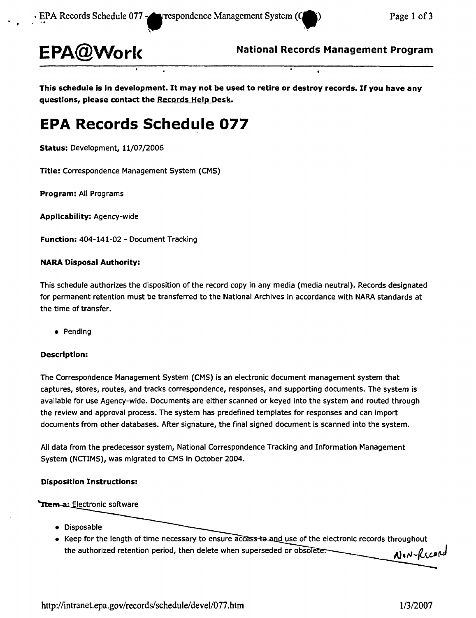

**National Records Management Program EPA@Worl<**

This schedule is in development. It may not be used to retire or destroy records. If you have any **guestions, please contact the Records Help Desk.** 

# **EPA Records Schedule 077**

**Status:** Development, 11/07/2006

**Title:** Correspondence Management System (CMS)

**Program:** All Programs

**Applicability:** Agency-wide

**Function:** 404-141-02 - Document Tracking

### **NARA Disposal Authority:**

This schedule authorizes the disposition of the record copy in any media (media neutral). Records designated for permanent retention must be transferred to the National Archives in accordance with NARA standards at the time of transfer.

• Pending

### **Description:**

The Correspondence Management System (CMS) is an electronic document management system that captures, stores, routes, and tracks correspondence, responses, and supporting documents. The system is available for use Agency-wide. Documents are either scanned or keyed into the system and routed through the review and approval process. The system has predefined templates for responses and can import documents from other databases. After signature, the final signed document is scanned into the system.

All data from the predecessor system, National Correspondence Tracking and Information Management System (NCTIMS), was migrated to CMS in October 2004.

### **Disposition Instructions:**

### Ttem a: Electronic software

- • Disposable
- Keep for the length of time necessary to ensure access to and use of the electronic records throughout the authorized retention period, then delete when superseded or obsolete.<br> **AJ**, N-RCCPM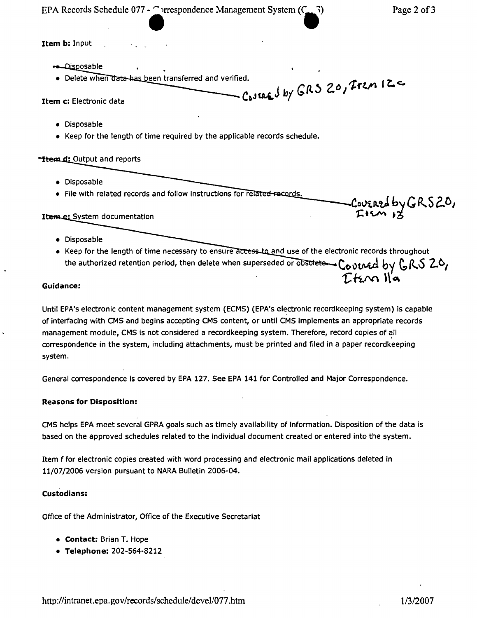EPA Records Schedule 077 -  $\bigcap$  rrespondence Management System  $(C_1, 3)$  Page 2 of 3 edule 077 -  $\bigcap_{n=1}^{\infty}$ 

Covered by GRS20,

Item b: Input

- Disposable
- een transferred and verified. ",. , ~

Casuaged by GRS 20, Frem  $12$ 

- Item c: Electronic data
	- • Disposable
	- Keep for the length of time required by the applicable records schedule.

**Hem.d:** Output and reports

- • Disposable
- File with related records and follow instructions for related records.

#### Item e: System documentation

- • Disposable
- Keep for the length of time necessary to ensure access to and use of the electronic records throughout the authorized retention period, then delete when superseded or obsolute  $C_{\odot}$   $\alpha$  and by  $C_{\odot}$   $C_{\odot}$

# $C$ *k*.  $\alpha$  l $\alpha$

Until EPA's electronic content management system (ECMS) (EPA's electronic recordkeeping system) is capable of interfacing with CMS and begins accepting CMS content, or until CMS implements an appropriate records management module, CMS is not considered a recordkeeping system. Therefore, record copies of all correspondence in the system, including attachments, must be printed and filed in a paper recordkeeping system.

General correspondence is covered by EPA 127. See EPA 141 for Controlled and Major Correspondence.

### Reasons for Disposition:

CMS helps EPA meet several GPRA goals such as timely availability of information. Disposition of the data is based on the approved schedules related to the Individual document created or entered into the system.

Item f for electronic copies created with word processing and electronic mail applications deleted in 11/07/2006 version pursuant to NARA Bulletin 2006-04.

### Custodians:

Office of the Administrator, Office of the Executive Secretariat

- • Contact: Brian T. Hope
- • Telephone: 202-564-8212